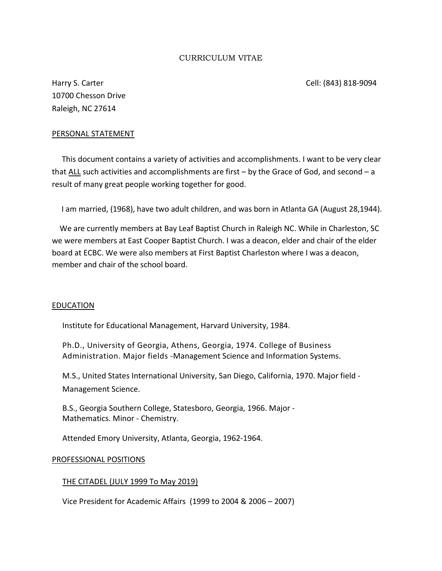## CURRICULUM VITAE

Harry S. Carter Cell: (843) 818-9094 10700 Chesson Drive Raleigh, NC 27614

## PERSONAL STATEMENT

 This document contains a variety of activities and accomplishments. I want to be very clear that  $ALL$  such activities and accomplishments are first – by the Grace of God, and second – a result of many great people working together for good.

I am married, (1968), have two adult children, and was born in Atlanta GA (August 28,1944).

 We are currently members at Bay Leaf Baptist Church in Raleigh NC. While in Charleston, SC we were members at East Cooper Baptist Church. I was a deacon, elder and chair of the elder board at ECBC. We were also members at First Baptist Charleston where I was a deacon, member and chair of the school board.

#### **EDUCATION**

Institute for Educational Management, Harvard University, 1984.

Ph.D., University of Georgia, Athens, Georgia, 1974. College of Business Administration. Major fields -Management Science and Information Systems.

M.S., United States International University, San Diego, California, 1970. Major field - Management Science.

B.S., Georgia Southern College, Statesboro, Georgia, 1966. Major - Mathematics. Minor - Chemistry.

Attended Emory University, Atlanta, Georgia, 1962-1964.

#### PROFESSIONAL POSITIONS

## THE CITADEL (JULY 1999 To May 2019)

Vice President for Academic Affairs (1999 to 2004 & 2006 – 2007)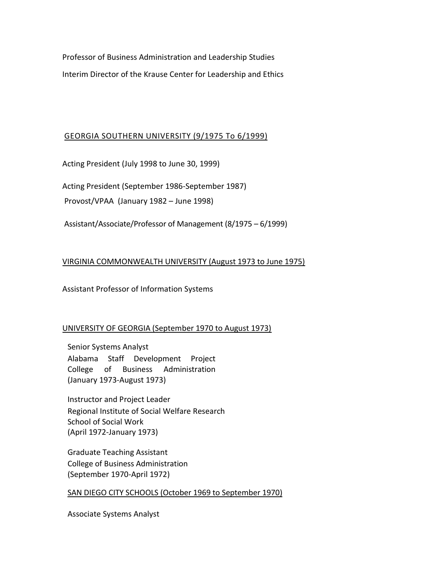Professor of Business Administration and Leadership Studies Interim Director of the Krause Center for Leadership and Ethics

## GEORGIA SOUTHERN UNIVERSITY (9/1975 To 6/1999)

Acting President (July 1998 to June 30, 1999)

Acting President (September 1986-September 1987)

Provost/VPAA (January 1982 – June 1998)

Assistant/Associate/Professor of Management (8/1975 – 6/1999)

## VIRGINIA COMMONWEALTH UNIVERSITY (August 1973 to June 1975)

Assistant Professor of Information Systems

## UNIVERSITY OF GEORGIA (September 1970 to August 1973)

Senior Systems Analyst Alabama Staff Development Project College of Business Administration (January 1973-August 1973)

Instructor and Project Leader Regional Institute of Social Welfare Research School of Social Work (April 1972-January 1973)

Graduate Teaching Assistant College of Business Administration (September 1970-April 1972)

## SAN DIEGO CITY SCHOOLS (October 1969 to September 1970)

Associate Systems Analyst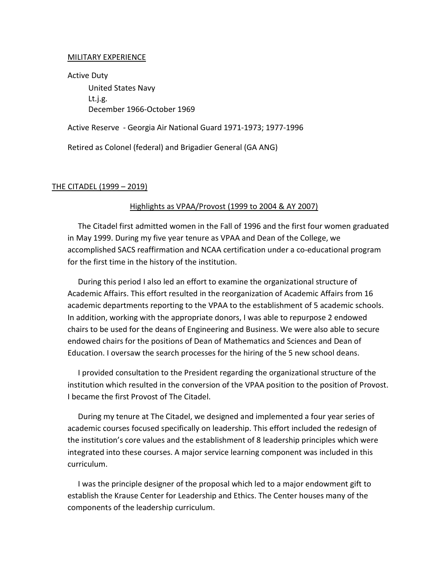#### MILITARY EXPERIENCE

Active Duty United States Navy Lt.j.g. December 1966-October 1969

Active Reserve - Georgia Air National Guard 1971-1973; 1977-1996

Retired as Colonel (federal) and Brigadier General (GA ANG)

## THE CITADEL (1999 – 2019)

### Highlights as VPAA/Provost (1999 to 2004 & AY 2007)

The Citadel first admitted women in the Fall of 1996 and the first four women graduated in May 1999. During my five year tenure as VPAA and Dean of the College, we accomplished SACS reaffirmation and NCAA certification under a co-educational program for the first time in the history of the institution.

During this period I also led an effort to examine the organizational structure of Academic Affairs. This effort resulted in the reorganization of Academic Affairs from 16 academic departments reporting to the VPAA to the establishment of 5 academic schools. In addition, working with the appropriate donors, I was able to repurpose 2 endowed chairs to be used for the deans of Engineering and Business. We were also able to secure endowed chairs for the positions of Dean of Mathematics and Sciences and Dean of Education. I oversaw the search processes for the hiring of the 5 new school deans.

I provided consultation to the President regarding the organizational structure of the institution which resulted in the conversion of the VPAA position to the position of Provost. I became the first Provost of The Citadel.

During my tenure at The Citadel, we designed and implemented a four year series of academic courses focused specifically on leadership. This effort included the redesign of the institution's core values and the establishment of 8 leadership principles which were integrated into these courses. A major service learning component was included in this curriculum.

I was the principle designer of the proposal which led to a major endowment gift to establish the Krause Center for Leadership and Ethics. The Center houses many of the components of the leadership curriculum.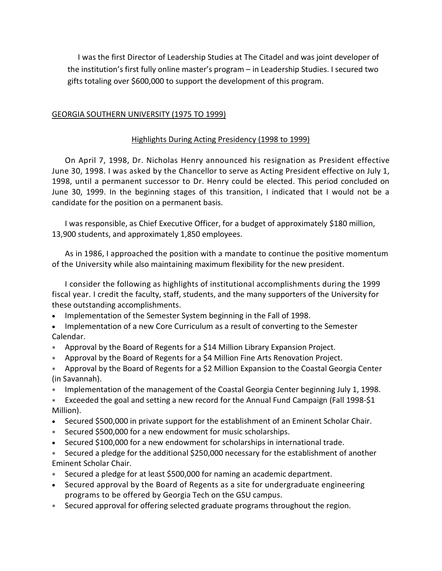I was the first Director of Leadership Studies at The Citadel and was joint developer of the institution's first fully online master's program – in Leadership Studies. I secured two gifts totaling over \$600,000 to support the development of this program.

## GEORGIA SOUTHERN UNIVERSITY (1975 TO 1999)

## Highlights During Acting Presidency (1998 to 1999)

On April 7, 1998, Dr. Nicholas Henry announced his resignation as President effective June 30, 1998. I was asked by the Chancellor to serve as Acting President effective on July 1, 1998, until a permanent successor to Dr. Henry could be elected. This period concluded on June 30, 1999. In the beginning stages of this transition, I indicated that I would not be a candidate for the position on a permanent basis.

I was responsible, as Chief Executive Officer, for a budget of approximately \$180 million, 13,900 students, and approximately 1,850 employees.

As in 1986, I approached the position with a mandate to continue the positive momentum of the University while also maintaining maximum flexibility for the new president.

I consider the following as highlights of institutional accomplishments during the 1999 fiscal year. I credit the faculty, staff, students, and the many supporters of the University for these outstanding accomplishments.

- Implementation of the Semester System beginning in the Fall of 1998.
- Implementation of a new Core Curriculum as a result of converting to the Semester Calendar.
- Approval by the Board of Regents for a \$14 Million Library Expansion Project.
- Approval by the Board of Regents for a \$4 Million Fine Arts Renovation Project.
- Approval by the Board of Regents for a \$2 Million Expansion to the Coastal Georgia Center (in Savannah).
- Implementation of the management of the Coastal Georgia Center beginning July 1, 1998.
- Exceeded the goal and setting a new record for the Annual Fund Campaign (Fall 1998-\$1 Million).
- Secured \$500,000 in private support for the establishment of an Eminent Scholar Chair.
- Secured \$500,000 for a new endowment for music scholarships.
- Secured \$100,000 for a new endowment for scholarships in international trade.
- Secured a pledge for the additional \$250,000 necessary for the establishment of another Eminent Scholar Chair.
- Secured a pledge for at least \$500,000 for naming an academic department.
- Secured approval by the Board of Regents as a site for undergraduate engineering programs to be offered by Georgia Tech on the GSU campus.
- Secured approval for offering selected graduate programs throughout the region.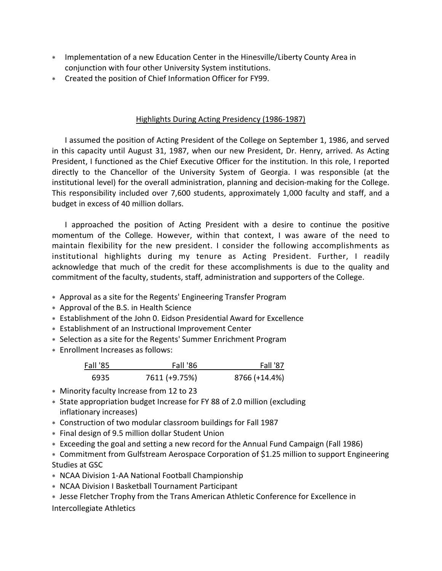- Implementation of a new Education Center in the Hinesville/Liberty County Area in conjunction with four other University System institutions.
- Created the position of Chief Information Officer for FY99.

## Highlights During Acting Presidency (1986-1987)

I assumed the position of Acting President of the College on September 1, 1986, and served in this capacity until August 31, 1987, when our new President, Dr. Henry, arrived. As Acting President, I functioned as the Chief Executive Officer for the institution. In this role, I reported directly to the Chancellor of the University System of Georgia. I was responsible (at the institutional level) for the overall administration, planning and decision-making for the College. This responsibility included over 7,600 students, approximately 1,000 faculty and staff, and a budget in excess of 40 million dollars.

I approached the position of Acting President with a desire to continue the positive momentum of the College. However, within that context, I was aware of the need to maintain flexibility for the new president. I consider the following accomplishments as institutional highlights during my tenure as Acting President. Further, I readily acknowledge that much of the credit for these accomplishments is due to the quality and commitment of the faculty, students, staff, administration and supporters of the College.

- Approval as a site for the Regents' Engineering Transfer Program
- Approval of the B.S. in Health Science
- Establishment of the John 0. Eidson Presidential Award for Excellence
- Establishment of an Instructional Improvement Center
- Selection as a site for the Regents' Summer Enrichment Program
- Enrollment Increases as follows:

| Fall '85 | <b>Fall '86</b> | Fall '87      |
|----------|-----------------|---------------|
| 6935     | 7611 (+9.75%)   | 8766 (+14.4%) |

- Minority faculty Increase from 12 to 23
- State appropriation budget Increase for FY 88 of 2.0 million (excluding inflationary increases)
- Construction of two modular classroom buildings for Fall 1987
- Final design of 9.5 million dollar Student Union
- Exceeding the goal and setting a new record for the Annual Fund Campaign (Fall 1986)

 Commitment from Gulfstream Aerospace Corporation of \$1.25 million to support Engineering Studies at GSC

- NCAA Division 1-AA National Football Championship
- NCAA Division I Basketball Tournament Participant
- Jesse Fletcher Trophy from the Trans American Athletic Conference for Excellence in Intercollegiate Athletics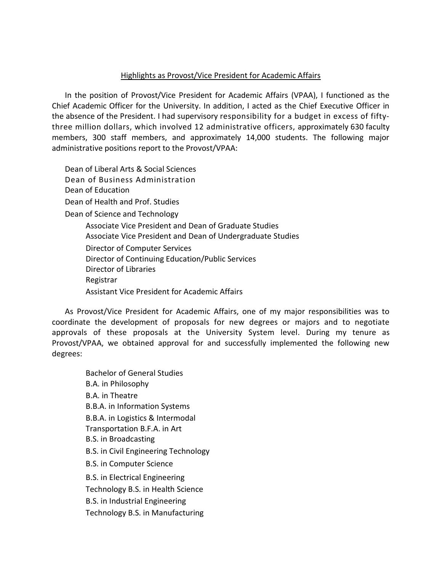## Highlights as Provost/Vice President for Academic Affairs

In the position of Provost/Vice President for Academic Affairs (VPAA), I functioned as the Chief Academic Officer for the University. In addition, I acted as the Chief Executive Officer in the absence of the President. I had supervisory responsibility for a budget in excess of fiftythree million dollars, which involved 12 administrative officers, approximately 630 faculty members, 300 staff members, and approximately 14,000 students. The following major administrative positions report to the Provost/VPAA:

Dean of Liberal Arts & Social Sciences Dean of Business Administration Dean of Education Dean of Health and Prof. Studies Dean of Science and Technology Associate Vice President and Dean of Graduate Studies Associate Vice President and Dean of Undergraduate Studies Director of Computer Services Director of Continuing Education/Public Services Director of Libraries Registrar Assistant Vice President for Academic Affairs

As Provost/Vice President for Academic Affairs, one of my major responsibilities was to coordinate the development of proposals for new degrees or majors and to negotiate approvals of these proposals at the University System level. During my tenure as Provost/VPAA, we obtained approval for and successfully implemented the following new degrees:

Bachelor of General Studies B.A. in Philosophy B.A. in Theatre B.B.A. in Information Systems B.B.A. in Logistics & Intermodal Transportation B.F.A. in Art B.S. in Broadcasting B.S. in Civil Engineering Technology B.S. in Computer Science B.S. in Electrical Engineering Technology B.S. in Health Science B.S. in Industrial Engineering Technology B.S. in Manufacturing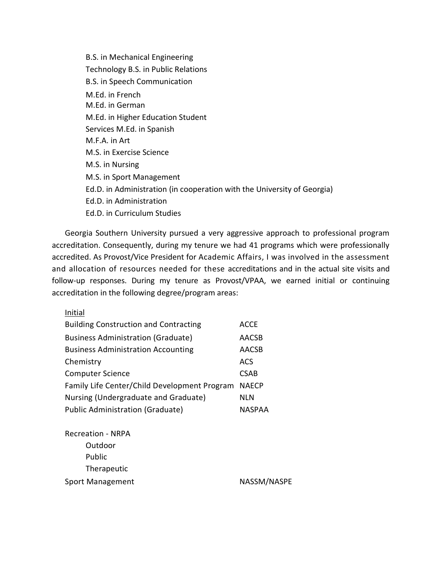B.S. in Mechanical Engineering Technology B.S. in Public Relations B.S. in Speech Communication M.Ed. in French M.Ed. in German M.Ed. in Higher Education Student Services M.Ed. in Spanish M.F.A. in Art M.S. in Exercise Science M.S. in Nursing M.S. in Sport Management Ed.D. in Administration (in cooperation with the University of Georgia) Ed.D. in Administration Ed.D. in Curriculum Studies

Georgia Southern University pursued a very aggressive approach to professional program accreditation. Consequently, during my tenure we had 41 programs which were professionally accredited. As Provost/Vice President for Academic Affairs, I was involved in the assessment and allocation of resources needed for these accreditations and in the actual site visits and follow-up responses. During my tenure as Provost/VPAA, we earned initial or continuing accreditation in the following degree/program areas:

| ı |
|---|
|---|

| <b>Building Construction and Contracting</b>       | ACCE          |
|----------------------------------------------------|---------------|
| <b>Business Administration (Graduate)</b>          | <b>AACSB</b>  |
| <b>Business Administration Accounting</b>          | <b>AACSB</b>  |
| Chemistry                                          | <b>ACS</b>    |
| <b>Computer Science</b>                            | <b>CSAB</b>   |
| Family Life Center/Child Development Program NAECP |               |
| Nursing (Undergraduate and Graduate)               | NLN           |
| <b>Public Administration (Graduate)</b>            | <b>NASPAA</b> |

| <b>Recreation - NRPA</b> |             |
|--------------------------|-------------|
| Outdoor                  |             |
| <b>Public</b>            |             |
| Therapeutic              |             |
| Sport Management         | NASSM/NASPE |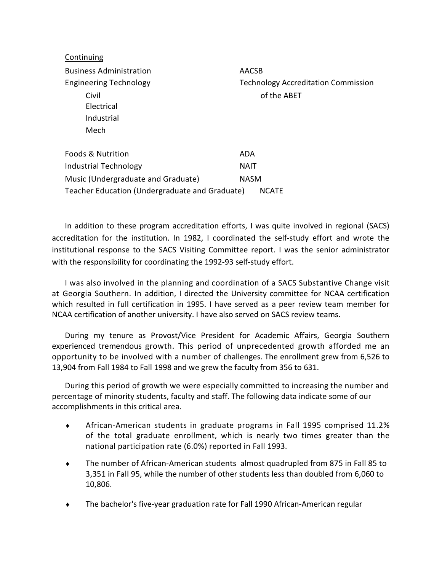Continuing Business Administration AACSB Engineering Technology Technology Accreditation Commission Civil of the ABET Electrical Industrial Mech Foods & Nutrition ADA Industrial Technology NAIT Music (Undergraduate and Graduate) NASM Teacher Education (Undergraduate and Graduate) NCATE

In addition to these program accreditation efforts, I was quite involved in regional (SACS) accreditation for the institution. In 1982, I coordinated the self-study effort and wrote the institutional response to the SACS Visiting Committee report. I was the senior administrator with the responsibility for coordinating the 1992-93 self-study effort.

I was also involved in the planning and coordination of a SACS Substantive Change visit at Georgia Southern. In addition, I directed the University committee for NCAA certification which resulted in full certification in 1995. I have served as a peer review team member for NCAA certification of another university. I have also served on SACS review teams.

During my tenure as Provost/Vice President for Academic Affairs, Georgia Southern experienced tremendous growth. This period of unprecedented growth afforded me an opportunity to be involved with a number of challenges. The enrollment grew from 6,526 to 13,904 from Fall 1984 to Fall 1998 and we grew the faculty from 356 to 631.

During this period of growth we were especially committed to increasing the number and percentage of minority students, faculty and staff. The following data indicate some of our accomplishments in this critical area.

- African-American students in graduate programs in Fall 1995 comprised 11.2% of the total graduate enrollment, which is nearly two times greater than the national participation rate (6.0%) reported in Fall 1993.
- The number of African-American students almost quadrupled from 875 in Fall 85 to 3,351 in Fall 95, while the number of other students less than doubled from 6,060 to 10,806.
- The bachelor's five-year graduation rate for Fall 1990 African-American regular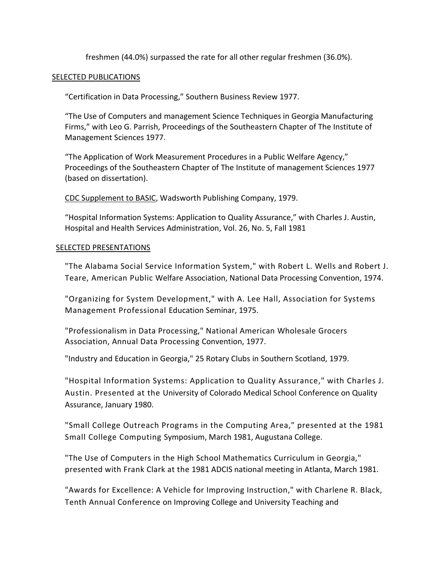freshmen (44.0%) surpassed the rate for all other regular freshmen (36.0%).

## SELECTED PUBLICATIONS

"Certification in Data Processing," Southern Business Review 1977.

"The Use of Computers and management Science Techniques in Georgia Manufacturing Firms," with Leo G. Parrish, Proceedings of the Southeastern Chapter of The Institute of Management Sciences 1977.

"The Application of Work Measurement Procedures in a Public Welfare Agency," Proceedings of the Southeastern Chapter of The Institute of management Sciences 1977 (based on dissertation).

CDC Supplement to BASIC, Wadsworth Publishing Company, 1979.

"Hospital Information Systems: Application to Quality Assurance," with Charles J. Austin, Hospital and Health Services Administration, Vol. 26, No. 5, Fall 1981

### SELECTED PRESENTATIONS

"The Alabama Social Service Information System," with Robert L. Wells and Robert J. Teare, American Public Welfare Association, National Data Processing Convention, 1974.

"Organizing for System Development," with A. Lee Hall, Association for Systems Management Professional Education Seminar, 1975.

"Professionalism in Data Processing," National American Wholesale Grocers Association, Annual Data Processing Convention, 1977.

"Industry and Education in Georgia," 25 Rotary Clubs in Southern Scotland, 1979.

"Hospital Information Systems: Application to Quality Assurance," with Charles J. Austin. Presented at the University of Colorado Medical School Conference on Quality Assurance, January 1980.

"Small College Outreach Programs in the Computing Area," presented at the 1981 Small College Computing Symposium, March 1981, Augustana College.

"The Use of Computers in the High School Mathematics Curriculum in Georgia," presented with Frank Clark at the 1981 ADCIS national meeting in Atlanta, March 1981.

"Awards for Excellence: A Vehicle for Improving Instruction," with Charlene R. Black, Tenth Annual Conference on Improving College and University Teaching and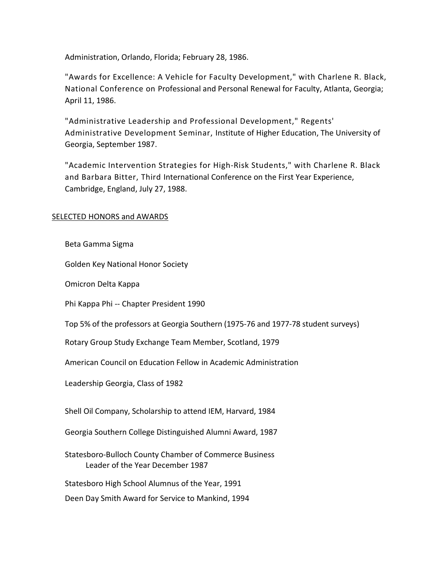Administration, Orlando, Florida; February 28, 1986.

"Awards for Excellence: A Vehicle for Faculty Development," with Charlene R. Black, National Conference on Professional and Personal Renewal for Faculty, Atlanta, Georgia; April 11, 1986.

"Administrative Leadership and Professional Development," Regents' Administrative Development Seminar, Institute of Higher Education, The University of Georgia, September 1987.

"Academic Intervention Strategies for High-Risk Students," with Charlene R. Black and Barbara Bitter, Third International Conference on the First Year Experience, Cambridge, England, July 27, 1988.

## **SELECTED HONORS and AWARDS**

Beta Gamma Sigma

Golden Key National Honor Society

Omicron Delta Kappa

Phi Kappa Phi -- Chapter President 1990

Top 5% of the professors at Georgia Southern (1975-76 and 1977-78 student surveys)

Rotary Group Study Exchange Team Member, Scotland, 1979

American Council on Education Fellow in Academic Administration

Leadership Georgia, Class of 1982

Shell Oil Company, Scholarship to attend IEM, Harvard, 1984

Georgia Southern College Distinguished Alumni Award, 1987

Statesboro-Bulloch County Chamber of Commerce Business Leader of the Year December 1987

Statesboro High School Alumnus of the Year, 1991

Deen Day Smith Award for Service to Mankind, 1994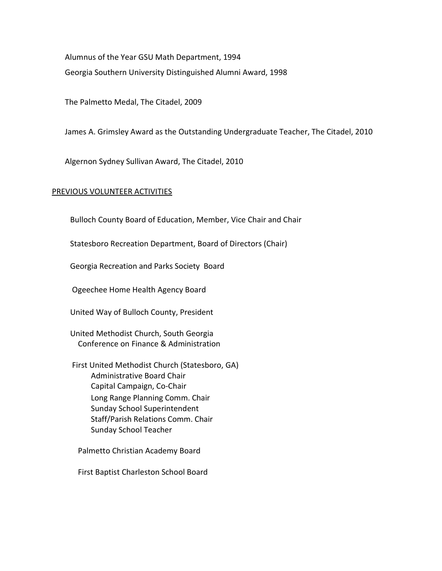Alumnus of the Year GSU Math Department, 1994 Georgia Southern University Distinguished Alumni Award, 1998

The Palmetto Medal, The Citadel, 2009

James A. Grimsley Award as the Outstanding Undergraduate Teacher, The Citadel, 2010

Algernon Sydney Sullivan Award, The Citadel, 2010

#### PREVIOUS VOLUNTEER ACTIVITIES

Bulloch County Board of Education, Member, Vice Chair and Chair

Statesboro Recreation Department, Board of Directors (Chair)

Georgia Recreation and Parks Society Board

Ogeechee Home Health Agency Board

United Way of Bulloch County, President

United Methodist Church, South Georgia Conference on Finance & Administration

 First United Methodist Church (Statesboro, GA) Administrative Board Chair Capital Campaign, Co-Chair Long Range Planning Comm. Chair Sunday School Superintendent Staff/Parish Relations Comm. Chair Sunday School Teacher

Palmetto Christian Academy Board

First Baptist Charleston School Board